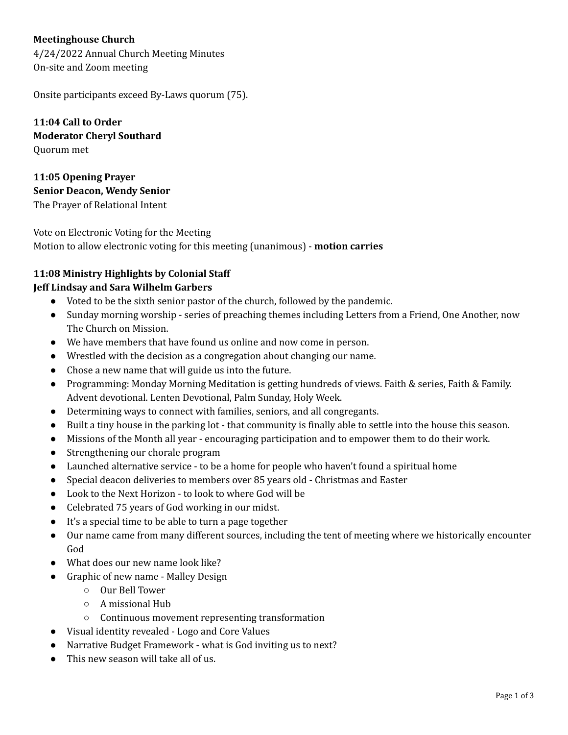# **Meetinghouse Church**

4/24/2022 Annual Church Meeting Minutes On-site and Zoom meeting

Onsite participants exceed By-Laws quorum (75).

**11:04 Call to Order Moderator Cheryl Southard** Quorum met

**11:05 Opening Prayer Senior Deacon, Wendy Senior** The Prayer of Relational Intent

Vote on Electronic Voting for the Meeting Motion to allow electronic voting for this meeting (unanimous) - **motion carries**

# **11:08 Ministry Highlights by Colonial Staff**

# **Jeff Lindsay and Sara Wilhelm Garbers**

- Voted to be the sixth senior pastor of the church, followed by the pandemic.
- Sunday morning worship series of preaching themes including Letters from a Friend, One Another, now The Church on Mission.
- We have members that have found us online and now come in person.
- Wrestled with the decision as a congregation about changing our name.
- Chose a new name that will guide us into the future.
- Programming: Monday Morning Meditation is getting hundreds of views. Faith & series, Faith & Family. Advent devotional. Lenten Devotional, Palm Sunday, Holy Week.
- Determining ways to connect with families, seniors, and all congregants.
- Built a tiny house in the parking lot that community is finally able to settle into the house this season.
- Missions of the Month all year encouraging participation and to empower them to do their work.
- Strengthening our chorale program
- Launched alternative service to be a home for people who haven't found a spiritual home
- Special deacon deliveries to members over 85 years old Christmas and Easter
- Look to the Next Horizon to look to where God will be
- Celebrated 75 years of God working in our midst.
- It's a special time to be able to turn a page together
- Our name came from many different sources, including the tent of meeting where we historically encounter God
- What does our new name look like?
- Graphic of new name Malley Design
	- Our Bell Tower
	- A missional Hub
	- Continuous movement representing transformation
- Visual identity revealed Logo and Core Values
- Narrative Budget Framework what is God inviting us to next?
- This new season will take all of us.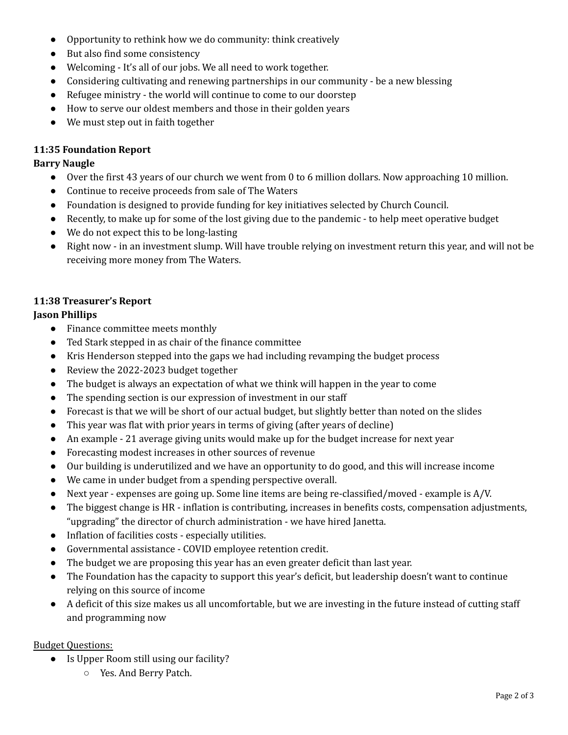- Opportunity to rethink how we do community: think creatively
- But also find some consistency
- Welcoming It's all of our jobs. We all need to work together.
- Considering cultivating and renewing partnerships in our community be a new blessing
- Refugee ministry the world will continue to come to our doorstep
- How to serve our oldest members and those in their golden years
- We must step out in faith together

## **11:35 Foundation Report**

#### **Barry Naugle**

- Over the first 43 years of our church we went from 0 to 6 million dollars. Now approaching 10 million.
- Continue to receive proceeds from sale of The Waters
- Foundation is designed to provide funding for key initiatives selected by Church Council.
- Recently, to make up for some of the lost giving due to the pandemic to help meet operative budget
- We do not expect this to be long-lasting
- Right now in an investment slump. Will have trouble relying on investment return this year, and will not be receiving more money from The Waters.

# **11:38 Treasurer's Report**

## **Jason Phillips**

- Finance committee meets monthly
- Ted Stark stepped in as chair of the finance committee
- Kris Henderson stepped into the gaps we had including revamping the budget process
- Review the 2022-2023 budget together
- The budget is always an expectation of what we think will happen in the year to come
- The spending section is our expression of investment in our staff
- Forecast is that we will be short of our actual budget, but slightly better than noted on the slides
- This year was flat with prior years in terms of giving (after years of decline)
- An example 21 average giving units would make up for the budget increase for next year
- Forecasting modest increases in other sources of revenue
- Our building is underutilized and we have an opportunity to do good, and this will increase income
- We came in under budget from a spending perspective overall.
- Next year expenses are going up. Some line items are being re-classified/moved example is A/V.
- The biggest change is HR inflation is contributing, increases in benefits costs, compensation adjustments, "upgrading" the director of church administration - we have hired Janetta.
- Inflation of facilities costs especially utilities.
- Governmental assistance COVID employee retention credit.
- The budget we are proposing this year has an even greater deficit than last year.
- The Foundation has the capacity to support this year's deficit, but leadership doesn't want to continue relying on this source of income
- A deficit of this size makes us all uncomfortable, but we are investing in the future instead of cutting staff and programming now

## Budget Questions:

- Is Upper Room still using our facility?
	- Yes. And Berry Patch.